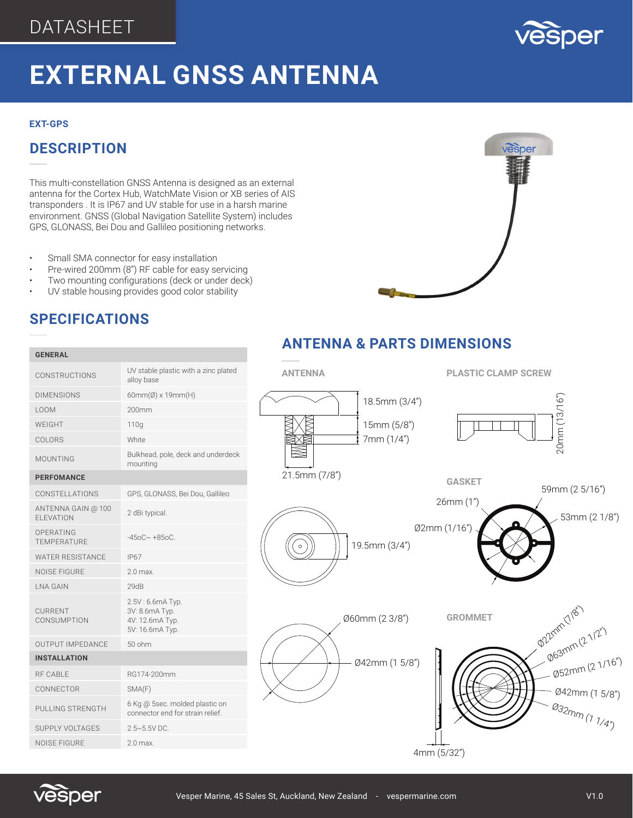

### **EXTERNAL GNSS ANTENNA** 1 **mm** (17

### **EXT-GPS**

## **DESCRIPTION**

This multi-constellation GNSS Antenna is designed as an external antenna for the Cortex Hub, WatchMate Vision or XB series of AIS transponders . It is IP67 and UV stable for use in a harsh marine environment. GNSS (Global Navigation Satellite System) includes GPS, GLONASS, Bei Dou and Gallileo positioning networks.

- Small SMA connector for easy installation
- Pre-wired 200mm (8") RF cable for easy servicing
- Two mounting configurations (deck or under deck)
- UV stable housing provides good color stability

# vesper  $\overline{1}$

### **SPECIFICATIONS**

**GENERAL**

### **ANTENNA PLASTIC CLAMP SCREW GASKET GROMMET** CONSTRUCTIONS UV stable plastic with a zinc plated  $\sigma$ Ø60mm (2 3/8") Ø42mm (1 5/8") 8")  $\mathcal{M}_{\mathcal{D}_{\mathcal{D}_{\alpha}}}$  $|19.5$ mm  $(3/4")$  $\triangle$   $\chi$  $\blacktriangleright$  /  $\blacktriangleright$  $\frac{1}{\sqrt{2}}$  $\frac{1}{\sqrt{2}}$  $\frac{1}{2}$  $\frac{3}{3}$  $\overline{\phantom{a}}$  $2<sup>n</sup>$ Ø22mm (7/8") Ø63mm (2 1/2") plated<br>plated  $\mathbf{P}$  $\overline{ANT}$  $\frac{1}{2}$ 20mm (13/16") 18.5mm (3/4") <u>1.5 September 1986</u><br>1987 - Paul Barnett, politik eta espainiar eta espainiar eta espainiar eta espainiar eta espainiar eta espain<br>1988 - Paul Barnett, politik eta espainiar eta espainiar eta espainiar eta espainiar eta es  $\bullet$   $\prime$   $\mathbf$  $\bigotimes$  $\infty$  $\sum_{n=1}^{\infty}$ **PERENT**<br>MMET  $\overline{\phantom{a}}$ **P22mm(7/8")** 2mm (2 1/2") Ø52mm (2 1/16") Ø42mm (1 5/8") Ø32mm (1 1/4") 20mm (13/16") $\longrightarrow$   $\rightarrow$ Ø2mm (1/16") 26mm (1") 59mm (2 5/16") 53mm (2 1/8")  $20$ mm (13/16" 18.5mm (3/4") 15mm (5/8") 7mm (1/4") 21.5mm (7/8")



| CONSTRUCTIONS                           | alloy base                                                               |
|-----------------------------------------|--------------------------------------------------------------------------|
| <b>DIMENSIONS</b>                       | $60mm(\emptyset)$ x 19mm(H)                                              |
| <b>LOOM</b>                             | 200mm                                                                    |
| WFIGHT                                  | 110q                                                                     |
| COLORS                                  | <b>White</b>                                                             |
| <b>MOUNTING</b>                         | Bulkhead, pole, deck and underdeck<br>mounting                           |
| <b>PERFOMANCE</b>                       |                                                                          |
| CONSTELLATIONS                          | GPS, GLONASS, Bei Dou, Gallileo                                          |
| ANTENNA GAIN @ 100<br><b>FI EVATION</b> | 2 dBi typical.                                                           |
| OPFRATING<br><b>TEMPERATURE</b>         | $-450C - +850C$                                                          |
| <b>WATER RESISTANCE</b>                 | <b>IP67</b>                                                              |
| <b>NOISE FIGURE</b>                     | 2.0 max.                                                                 |
| I NA GAIN                               | 29dB                                                                     |
| <b>CURRENT</b><br>CONSUMPTION           | 2.5V: 6.6mA Typ.<br>3V: 8.6mA Typ.<br>4V: 12.6mA Typ.<br>5V: 16.6mA Typ. |
| <b>OUTPUT IMPEDANCE</b>                 | $50$ ohm                                                                 |
| <b>INSTALLATION</b>                     |                                                                          |
| <b>RF CABLE</b>                         | RG174-200mm                                                              |
| CONNECTOR                               | SMA(F)                                                                   |
| PULLING STRENGTH                        | 6 Kg @ 5sec. molded plastic on<br>connector end for strain relief.       |
| <b>SUPPLY VOLTAGES</b>                  | $2.5 \sim 5.5$ VDC.                                                      |
| <b>NOISE FIGURE</b>                     | 2.0 max.                                                                 |
|                                         |                                                                          |

# **ANTENNA & PARTS DIMENSIONS**



Ø42mm (1 5/8")